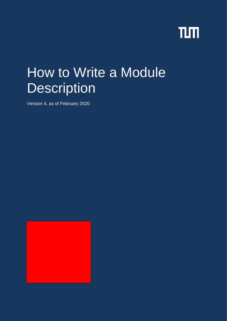# TLM

# How to Write a Module **Description**

Version 4, as of February 2020

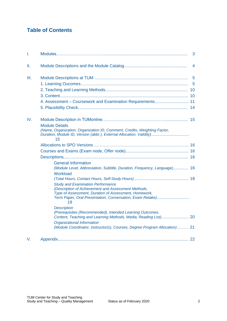# **Table of Contents**

| Ι.   |                                                                                                              | 3              |
|------|--------------------------------------------------------------------------------------------------------------|----------------|
| Ш.   |                                                                                                              |                |
| III. |                                                                                                              | $\overline{5}$ |
|      |                                                                                                              | $\overline{5}$ |
|      |                                                                                                              |                |
|      |                                                                                                              |                |
|      | 4. Assessment - Coursework and Examination Requirements 11                                                   |                |
|      |                                                                                                              |                |
| IV.  |                                                                                                              |                |
|      | <b>Module Details</b><br>(Name, Organization, Organization ID, Comment, Credits, Weighting Factor,<br>15     |                |
|      |                                                                                                              |                |
|      |                                                                                                              |                |
|      |                                                                                                              |                |
|      | <b>General Information</b>                                                                                   |                |
|      | (Module Level, Abbreviation, Subtitle, Duration, Frequency, Language) 16                                     |                |
|      | Workload                                                                                                     |                |
|      |                                                                                                              |                |
|      | <b>Study and Examination Performance</b>                                                                     |                |
|      | (Description of Achievement and Assessment Methods,<br>Type of Assessment, Duration of Assessment, Homework, |                |
|      | Term Paper, Oral Presentation, Conversation, Exam Retake)<br>19                                              |                |
|      | <b>Description</b>                                                                                           |                |
|      | (Prerequisites (Recommended), Intended Learning Outcomes,                                                    |                |
|      | Organizational Information                                                                                   |                |
|      | (Module Coordinator, Instructor(s), Courses, Degree Program Allocation) 21                                   |                |
| V.   |                                                                                                              |                |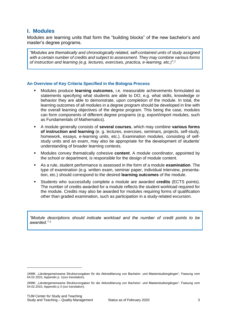## <span id="page-2-0"></span>**I. Modules**

Modules are learning units that form the "building blocks" of the new bachelor's and master's degree programs.

*"Modules are thematically and chronologically related, self-contained units of study assigned with a certain number of credits and subject to assessment. They may combine various forms of instruction and learning (e.g. lectures, exercises, practica, e-learning, etc.)".<sup>1</sup>*

## **An Overview of Key Criteria Specified in the Bologna Process**

- Modules produce **learning outcomes**, i.e. measurable achievements formulated as statements specifying what students are able to DO, e.g. what skills, knowledge or behavior they are able to demonstrate, upon completion of the module. In total, the learning outcomes of all modules in a degree program should be developed in line with the overall learning objectives of the degree program. This being the case, modules can form components of different degree programs (e.g. export/import modules, such as Fundamentals of Mathematics).
- A module generally consists of **several courses**, which may combine **various forms of instruction and learning** (e. g. lectures, exercises, seminars, projects, self-study, homework, essays, e-learning units, etc.). Examination modules, consisting of selfstudy units and an exam, may also be appropriate for the development of students' understanding of broader learning contexts.
- Modules convey thematically cohesive **content**. A module coordinator, appointed by the school or department, is responsible for the design of module content.
- As a rule, student performance is assessed in the form of a module **examination**. The type of examination (e.g. written exam, seminar paper, individual interview, presentation, etc.) should correspond to the desired **learning outcomes** of the module.
- Students who successfully complete a module are awarded **credits** (ECTS points). The number of credits awarded for a module reflects the student workload required for the module. Credits may also be awarded for modules requiring forms of qualification other than graded examination, such as participation in a study-related excursion.

*"Module descriptions should indicate workload and the number of credit points to be awarded." <sup>2</sup>*

1

<sup>1</sup>KMK: "Ländergemeinsame Strukturvorgaben für die Akkreditierung von Bachelor- und Masterstudiengängen", Fassung vom 04.02.2010, Appendix p. 1(our translation).

<sup>2</sup>KMK: "Ländergemeinsame Strukturvorgaben für die Akkreditierung von Bachelor- und Masterstudiengängen", Fassung vom 04.02.2010, Appendix p 3 (our translation).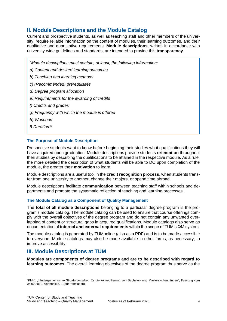## <span id="page-3-0"></span>**II. Module Descriptions and the Module Catalog**

Current and prospective students, as well as teaching staff and other members of the university, require reliable information on the content of modules, their learning outcomes, and their qualitative and quantitative requirements. **Module descriptions**, written in accordance with university-wide guidelines and standards, are intended to provide this **transparency**.

*"Module descriptions must contain, at least, the following information:*

*a) Content and desired learning outcomes* 

*b) Teaching and learning methods*

*c) (Recommended) prerequisites* 

*d) Degree program allocation*

*e) Requirements for the awarding of credits*

*f) Credits and grades*

*g) Frequency with which the module is offered*

*h) Workload*

*i) Duration"<sup>3</sup>*

#### **The Purpose of Module Description**

Prospective students want to know before beginning their studies what qualifications they will have acquired upon graduation. Module descriptions provide students **orientation** throughout their studies by describing the qualifications to be attained in the respective module. As a rule, the more detailed the description of what students will be able to DO upon completion of the module, the greater their **motivation** to learn.

Module descriptions are a useful tool in the **credit recognition process**, when students transfer from one university to another, change their majors, or spend time abroad.

Module descriptions facilitate **communication** between teaching staff within schools and departments and promote the systematic reflection of teaching and learning processes.

#### **The Module Catalog as a Component of Quality Management**

The **total of all module descriptions** belonging to a particular degree program is the program's module catalog. The module catalog can be used to ensure that course offerings comply with the overall objectives of the degree program and do not contain any unwanted overlapping of content or structural gaps in acquired qualifications. Module catalogs also serve as documentation of **internal and external requirements** within the scope of TUM's QM system.

The module catalog is generated by TUMonline (also as a PDF) and is to be made accessible to everyone. Module catalogs may also be made available in other forms, as necessary, to improve accessibility.

## <span id="page-3-1"></span>**III. Module Descriptions at TUM**

**Modules are components of degree programs and are to be described with regard to learning outcomes.** The overall learning objectives of the degree program thus serve as the

 $\overline{a}$ 

<sup>&</sup>lt;sup>3</sup>KMK: "Ländergemeinsame Strukturvorgaben für die Akkreditierung von Bachelor- und Masterstudiengängen", Fassung vom 04.02.2010, Appendix p. 1 (our translation).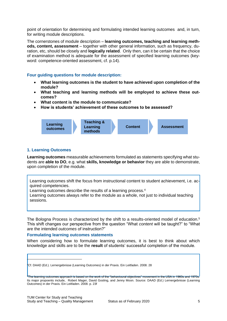point of orientation for determining and formulating intended learning outcomes and, in turn, for writing module descriptions.

The cornerstones of module description – **learning outcomes, teaching and learning methods, content, assessment** – together with other general information, such as frequency, duration, etc, should be closely and **logically related**. Only then, can it be certain that the choice of examination method is adequate for the assessment of specified learning outcomes (keyword: competence-oriented assessment, cf. p.14).

## **Four guiding questions for module description:**

- **What learning outcomes is the student to have achieved upon completion of the module?**
- **What teaching and learning methods will be employed to achieve these outcomes?**
- **What content is the module to communicate?**
- **How is students' achievement of these outcomes to be assessed?**



## <span id="page-4-0"></span>**1. Learning Outcomes**

**Learning outcomes** measurable achievements formulated as statements specifying what students are **able to DO**, e.g. what **skills, knowledge or behavior** they are able to demonstrate, upon completion of the module.

Learning outcomes shift the focus from instructional content to student achievement, i.e. acquired competencies.

Learning outcomes describe the results of a learning process.<sup>4</sup>

Learning outcomes always refer to the module as a whole, not just to individual teaching sessions.

The Bologna Process is characterized by the shift to a results-oriented model of education.<sup>5</sup> This shift changes our perspective from the question "What *content* will be taught?" to "What are the intended *outcomes* of instruction?"

#### **Formulating learning outcomes statements**

When considering how to formulate learning outcomes, it is best to think about which knowledge and skills are to be the **result** of students' successful completion of the module.

 $^{\sharp}$ The learning outcomes approach is based on the work of the "behavioural objectives" movement in the USA in 1960s and 1970s. Its major propoents include, Robert Mager, David Gosling, and Jenny Moon. Source: DAAD (Ed.) Lernergebnisse (Learning Outcomes) in der Praxis. Ein Leitfaden. 2008. p. 23f

ł

<sup>4</sup>Cf. DAAD (Ed.). Lernergebnisse (Learning Outcomes) in der Praxis. Ein Leitfaden. 2008. 28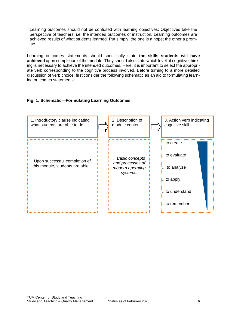Learning outcomes should not be confused with learning objectives: Objectives take the perspective of teachers, i.e. the intended outcomes of instruction. Learning outcomes are achieved results of what students learned. Put simply, the one is a hope; the other a promise.

Learning outcomes statements should specifically state **the skills students will have achieved** upon completion of the module. They should also state which level of cognitive thinking is necessary to achieve the intended outcomes. Here, it is important to select the appropriate verb corresponding to the cognitive process involved. Before turning to a more detailed discussion of verb choice, first consider the following schematic as an aid to formulating learning outcomes statements:

## **Fig. 1: Schematic—Formulating Learning Outcomes**

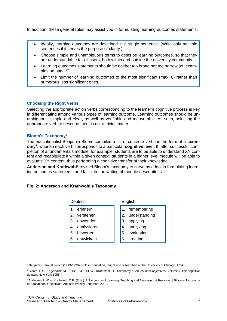In addition, these general rules may assist you in formulating learning outcomes statements:

- Ideally, learning outcomes are described in a single sentence. (Write only multiple sentences if it serves the purpose of clarity.)
- Choose simple and unambiguous terms to describe learning outcomes, so that they are understandable for all users, both within and outside the university community.
- Learning outcomes statements should be neither too broad nor too narrow (cf. examples on page 9).
- Limit the number of learning outcomes to the most significant (max. 8) rather than numerous less significant ones.

## **Choosing the Right Verbs**

Selecting the appropriate action verbs corresponding to the learner's cognitive process is key in differentiating among various types of learning outcome. Learning outcomes should be unambiguous, simple and clear, as well as verifiable and measurable. As such, selecting the appropriate verb to describe them is not a trivial matter.

#### **Bloom's Taxonomy<sup>6</sup>**

The educationalist Benjamin Bloom compiled a list of concrete verbs in the form of a **taxonomy<sup>7</sup>** , wherein each verb corresponds to a particular **cognitive level**. If, after successful completion of a fundamentals module, for example, students are to be able to understand XY content and recapitulate it within a given context, students in a higher level module will be able to evaluate XY content, thus performing a cognitive transfer of their knowledge.

Anderson and Krathwohl<sup>8</sup> revised Bloom's taxonomy to serve as a tool in formulating learning outcomes statements and facilitate the writing of module descriptions:

#### **Fig. 2: Anderson and Krathwohl's Taxonomy**

| Deutsch                                                                                   | English                                                                                           |
|-------------------------------------------------------------------------------------------|---------------------------------------------------------------------------------------------------|
| erinnern<br>2. verstehen<br>3. anwenden<br>4. analysieren<br>5. bewerten<br>6. entwickeln | 1. remembering<br>2. understanding<br>3. applying<br>4. analyzing<br>5. evaluating<br>6. creating |
|                                                                                           |                                                                                                   |

1

<sup>6</sup> Benjamin Samuel Bloom (1913-1999), PhD in Education, taught and researched at the University of Chicago, USA.

<sup>7</sup> Bloom, B.S., Engelhardt, M., Furst, E.J., Hill, W., Krathwohl, D.: Taxonomy of educational objectives. Volume I: The cognitive domain. New York 1956.

<sup>8</sup> Anderson, L.W. u. Krathwohl, D.R. (Eds.): A Taxonomy of Learning, Teaching and Assessing. A Revision of Bloom's Taxonomy of Educational Objectives. Addison Wesley Longman. 2001.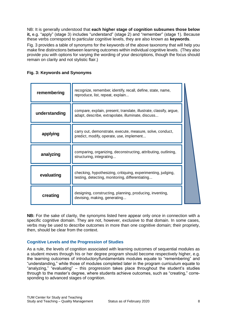NB: It is generally understood that **each higher stage of cognition subsumes those below it,** e.g. "apply" (stage 3) includes "understand" (stage 2) and "remember" (stage 1). Because these verbs correspond to particular cognitive levels, they are also known as **keywords**.

Fig. 3 provides a table of synonyms for the keywords of the above taxonomy that will help you make fine distinctions between learning outcomes within individual cognitive levels. (They also provide you with options for varying the wording of your descriptions, though the focus should remain on clarity and not stylistic flair.)

|  |  |  | Fig. 3: Keywords and Synonyms |  |
|--|--|--|-------------------------------|--|
|  |  |  |                               |  |

| remembering   | recognize, remember, identify, recall, define, state, name,<br>reproduce, list, repeat, explain                         |  |
|---------------|-------------------------------------------------------------------------------------------------------------------------|--|
| understanding | compare, explain, present, translate, illustrate, classify, argue,<br>adapt, describe, extrapolate, illuminate, discuss |  |
| applying      | carry out, demonstrate, execute, measure, solve, conduct,<br>predict, modify, operate, use, implement                   |  |
| analyzing     | comparing, organizing, deconstructing, attributing, outlining,<br>structuring, integrating                              |  |
| evaluating    | checking, hypothesizing, critiquing, experimenting, judging,<br>testing, detecting, monitoring, differentiating         |  |
| creating      | designing, constructing, planning, producing, inventing,<br>devising, making, generating                                |  |

**NB:** For the sake of clarity, the synonyms listed here appear only once in connection with a specific cognitive domain. They are not, however, exclusive to that domain. In some cases, verbs may be used to describe outcomes in more than one cognitive domain; their propriety, then, should be clear from the context.

## **Cognitive Levels and the Progression of Studies**

As a rule, the levels of cognition associated with learning outcomes of sequential modules as a student moves through his or her degree program should become respectively higher, e.g. the learning outcomes of introductory/fundamentals modules equate to "remembering" and "understanding," while those of modules completed later in the program curriculum equate to "analyzing," "evaluating" – this progression takes place throughout the student's studies through to the master's degree, where students achieve outcomes, such as "creating," corresponding to advanced stages of cognition.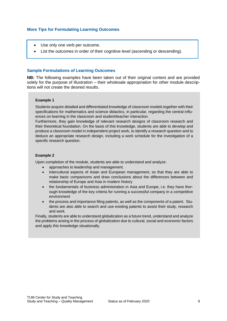## **More Tips for Formulating Learning Outcomes**

- Use only one verb per outcome.
- List the outcomes in order of their cognitive level (ascending or descending).

#### **Sample Formulations of Learning Outcomes**

**NB:** The following examples have been taken out of their original context and are provided solely for the purpose of illustration – their wholesale appropriation for other module descriptions will not create the desired results.

#### **Example 1**

Students acquire detailed and differentiated knowledge of classroom models together with their specifications for mathematics and science didactics, in particular, regarding the central influences on learning in the classroom and student/teacher interaction.

Furthermore, they gain knowledge of relevant research designs of classroom research and their theoretical foundation. On the basis of this knowledge, students are able to develop and produce a classroom model in independent project work, to identify a research question and to deduce an appropriate research design, including a work schedule for the investigation of a specific research question.

#### **Example 2**

Upon completion of the module, students are able to understand and analyze:

- approaches to leadership and management.
- intercultural aspects of Asian and European management, so that they are able to make basic comparisons and draw conclusions about the differences between and relationship of Europe and Asia in modern history
- the fundamentals of business administration in Asia and Europe, i.e. they have thorough knowledge of the key criteria for running a successful company in a competitive environment
- the process and importance filing patents, as well as the components of a patent. Students are also able to search and use existing patents to assist their study, research and work.

Finally, students are able to understand globalization as a future trend, understand and analyze the problems arising in the process of globalization due to cultural, social and economic factors and apply this knowledge situationally.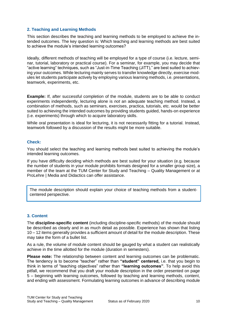## <span id="page-9-0"></span>**2. Teaching and Learning Methods**

This section describes the teaching and learning methods to be employed to achieve the intended outcomes. The key question is: Which teaching and learning methods are best suited to achieve the module's intended learning outcomes?

Ideally, different methods of teaching will be employed for a type of course (i.e. lecture, seminar, tutorial, laboratory or practical course). For a seminar, for example, you may decide that "active learning" techniques, such as "Just-in-Time Teaching (JiTT)," are best suited to achieving your outcomes. While lecturing mainly serves to transfer knowledge directly, exercise modules let students participate actively by employing various learning methods, i.e. presentations, teamwork, experiments, etc.

**Example:** If, after successful completion of the module, students are to be able to conduct experiments independently, lecturing alone is *not* an adequate teaching method. Instead, a combination of methods, such as seminars, exercises, practica, tutorials, etc. would be better suited to achieving the intended outcomes by providing students guided, hands-on experience (i.e. experiments) through which to acquire laboratory skills.

While oral presentation is ideal for lecturing, it is not necessarily fitting for a tutorial. Instead, teamwork followed by a discussion of the results might be more suitable.

## **Check:**

You should select the teaching and learning methods best suited to achieving the module's intended learning outcomes.

If you have difficulty deciding which methods are best suited for your situation (e.g. because the number of students in your module prohibits formats designed for a smaller group size), a member of the team at the TUM Center for Study and Teaching – Quality Management or at ProLehre | Media and Didactics can offer assistance.

The module description should explain your choice of teaching methods from a studentcentered perspective.

## <span id="page-9-1"></span>**3. Content**

The **discipline-specific content** (including discipline-specific methods) of the module should be described as clearly and in as much detail as possible. Experience has shown that listing 10 – 12 items generally provides a sufficient amount of detail for the module description. These may take the form of a bullet list.

As a rule, the volume of module content should be gauged by what a student can realistically achieve in the time allotted for the module (duration in semesters).

**Please note:** The relationship between content and learning outcomes can be problematic. The tendency is to become "teacher" rather than **"student" centered,** i.e. that you begin to think in terms of "teaching objectives" rather than **"learning outcomes"**. To help avoid this pitfall, we recommend that you draft your module description in the order presented on page 5 – beginning with learning outcomes, followed by teaching and learning methods, content, and ending with assessment. Formulating learning outcomes in advance of describing module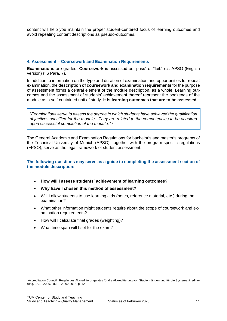content will help you maintain the proper student-centered focus of learning outcomes and avoid repeating content descriptions as pseudo-outcomes.

## <span id="page-10-0"></span>**4. Assessment – Coursework and Examination Requirements**

**Examinations** are graded. **Coursework** is assessed as "pass" or "fail." (cf. APSO (English version) § 6 Para. 7).

In addition to information on the type and duration of examination and opportunities for repeat examination, the **description of coursework and examination requirements** for the purpose of assessment forms a central element of the module description, as a whole. Learning outcomes and the assessment of students' achievement thereof represent the bookends of the module as a self-contained unit of study. **It is learning outcomes that are to be assessed.** 

*"Examinations serve to assess the degree to which students have achieved the qualification objectives specified for the module. They are related to the competencies to be acquired upon successful completion of the module." <sup>9</sup>*

The General Academic and Examination Regulations for bachelor's and master's programs of the Technical University of Munich (APSO), together with the program-specific regulations (FPSO), serve as the legal framework of student assessment.

## **The following questions may serve as a guide to completing the assessment section of the module description:**

- **How will I assess students' achievement of learning outcomes?**
- **Why have I chosen this method of assessment?**
- Will I allow students to use learning aids (notes, reference material, etc.) during the examination?
- What other information might students require about the scope of coursework and examination requirements?
- How will I calculate final grades (weighting)?
- What time span will I set for the exam?

 $\overline{a}$ 

<sup>9</sup>Accreditation Council: Regeln des Akkreditierungsrates für die Akkreditierung von Studiengängen und für die Systemakkreditierung, 08.12.2009, i.d.F. 20.02.2013, p. 12.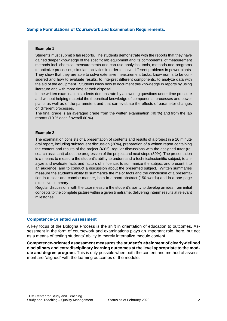## **Sample Formulations of Coursework and Examination Requirements:**

#### **Example 1**

Students must submit 6 lab reports. The students demonstrate with the reports that they have gained deeper knowledge of the specific lab equipment and its components, of measurement methods incl. chemical measurements and can use analytical tools, methods and programs to optimize processes, simulate activities in order to solve different problems in power plants. They show that they are able to solve extensive measurement tasks, know norms to be considered and how to evaluate results, to interpret different components, to analyze data with the aid of the equipment. Students know how to document this knowledge in reports by using literature and with more time at their disposal.

In the written examination students demonstrate by answering questions under time pressure and without helping material the theoretical knowledge of components, processes and power plants as well as of the parameters and that can evaluate the effects of parameter changes on different processes.

The final grade is an averaged grade from the written examination (40 %) and from the lab reports (10 % each / overall 60 %).

#### **Example 2**

The examination consists of a presentation of contents and results of a project in a 10 minute oral report, including subsequent discussion (30%), preparation of a written report containing the content and results of the project (40%), regular discussions with the assigned tutor (research assistant) about the progression of the project and next steps (30%). The presentation is a means to measure the student's ability to understand a technical/scientific subject, to analyze and evaluate facts and factors of influence, to summarize the subject and present it to an audience, and to conduct a discussion about the presented subject. Written summaries measure the student's ability to summarize the major facts and the conclusion of a presentation in a clear and concise manner, both in a short abstract (150 words) and in a one-page executive summary.

Regular discussions with the tutor measure the student's ability to develop an idea from initial concepts to the complete picture within a given timeframe, delivering interim results at relevant milestones.

#### **Competence-Oriented Assessment**

A key focus of the Bologna Process is the shift in orientation of education to outcomes. Assessment in the form of coursework and examinations plays an important role, here, but not as a means of testing students' ability to merely internalize module content.

**Competence-oriented assessment measures the student's attainment of clearly-defined disciplinary and extradisciplinary learning outcomes at the level appropriate to the module and degree program.** This is only possible when both the content and method of assessment are "aligned" with the learning outcomes of the module.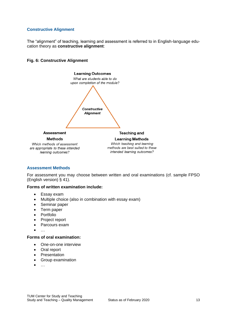## **Constructive Alignment**

The "alignment" of teaching, learning and assessment is referred to in English-language education theory as **constructive alignment**:





#### **Assessment Methods**

For assessment you may choose between written and oral examinations (cf. sample FPSO (English version) § 41).

## **Forms of written examination include:**

- Essay exam
- Multiple choice (also in combination with essay exam)
- Seminar paper
- Term paper
- Portfolio
- Project report
- Parcours exam
- …

## **Forms of oral examination:**

- One-on-one interview
- Oral report
- Presentation
- Group examination
- …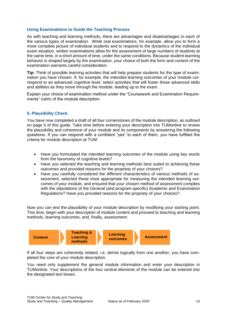## **Using Examinations to Guide the Teaching Process**

As with teaching and learning methods, there are advantages and disadvantages to each of the various types of examination. While oral examinations, for example, allow you to form a more complete picture of individual students and to respond to the dynamics of the individual exam situation, written examinations allow for the assessment of large numbers of students at the same time, in a short amount of time, under the same conditions. Because student learning behavior is shaped largely by the examination, your choice of both the form and content of the examination warrants careful consideration.

**Tip:** Think of possible learning activities that will help prepare students for the type of examination you have chosen. If, for example, the intended learning outcomes of your module correspond to an advanced cognitive level, select activities that will foster those advanced skills and abilities as they move through the module, leading up to the exam.

Explain your choice of examination method under the "Coursework and Examination Requirements" rubric of the module description.

#### <span id="page-13-0"></span>**5. Plausibility Check**

You have now completed a draft of all four cornerstones of the module description, as outlined on page 5 of this guide. Take time before entering your description into TUMonline to review the plausibility and coherence of your module and its components by answering the following questions. If you can respond with a confident "yes" to each of them, you have fulfilled the criteria for module description at TUM:

- Have you formulated the intended learning outcomes of the module using key words from the taxonomy of cognitive levels?
- Have you selected the teaching and learning methods best suited to achieving these outcomes and provided reasons for the propriety of your choices?
- Have you carefully considered the different characteristics of various methods of assessment, selected those most appropriate for measuring the intended learning outcomes of your module, and ensured that your chosen method of assessment complies with the stipulations of the General (and program-specific) Academic and Examination Regulations? Have you provided reasons for the propriety of your choices?

Now you can test the plausibility of your module description by modifying your starting point. This time, begin with your description of module content and proceed to teaching and learning methods, learning outcomes, and, finally, assessment:



If all four steps are coherently related, i.e. derive logically from one another, you have completed the core of your module description.

You need only supplement the general module information and enter your description in TUMonline. Your descriptions of the four central elements of the module can be entered into the designated text boxes.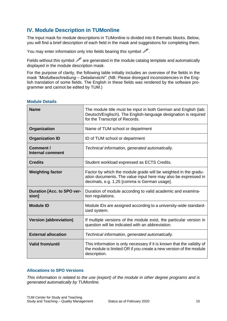# <span id="page-14-0"></span>**IV. Module Description in TUMonline**

The input mask for module descriptions in TUMonline is divided into 8 thematic blocks. Below, you will find a brief description of each field in the mask and suggestions for completing them.

You may enter information only into fields bearing this symbol  $\mathcal{P}$ .

Fields without this symbol  $\mathscr P$  are generated in the module catalog template and automatically displayed in the module description mask.

For the purpose of clarity, the following table initially includes an overview of the fields in the mask *"Modulbeschreibung – Detailansicht"*. (NB: Please disregard inconsistencies in the English translation of some fields. The English in these fields was rendered by the software programmer and cannot be edited by TUM.)

| <b>Name</b>                                | The module title must be input in both German and English (tab:<br>Deutsch/Englisch). The English-language designation is required<br>for the Transcript of Records.              |
|--------------------------------------------|-----------------------------------------------------------------------------------------------------------------------------------------------------------------------------------|
| Organization                               | Name of TUM school or department                                                                                                                                                  |
| <b>Organization ID</b>                     | ID of TUM school or department                                                                                                                                                    |
| Comment /<br><b>Internal comment</b>       | Technical information, generated automatically.                                                                                                                                   |
| <b>Credits</b>                             | Student workload expressed as ECTS Credits.                                                                                                                                       |
| <b>Weighting factor</b>                    | Factor by which the module grade will be weighted in the gradu-<br>ation documents. The value input here may also be expressed in<br>decimals, e.g. 1,25 [comma is German usage]. |
| <b>Duration [Acc. to SPO ver-</b><br>sion] | Duration of module according to valid academic and examina-<br>tion regulations.                                                                                                  |
| <b>Module ID</b>                           | Module IDs are assigned according to a university-wide standard-<br>ized system.                                                                                                  |
| <b>Version (abbreviation)</b>              | If multiple versions of the module exist, the particular version in<br>question will be indicated with an abbreviation.                                                           |
| <b>External allocation</b>                 | Technical information, generated automatically.                                                                                                                                   |
| <b>Valid from/until</b>                    | This information is only necessary if it is known that the validity of<br>the module is limited OR if you create a new version of the module<br>description.                      |

## <span id="page-14-1"></span>**Module Details**

## <span id="page-14-2"></span>**Allocations to SPO Versions**

*This information is related to the use (export) of the module in other degree programs and is generated automatically by TUMonline.*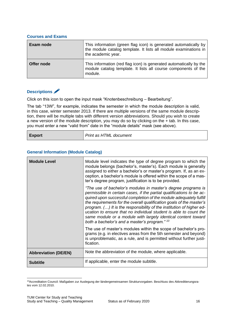#### <span id="page-15-0"></span>**Courses and Exams**

| Exam node  | This information (green flag icon) is generated automatically by<br>the module catalog template. It lists all module examinations in<br>the academic year. |
|------------|------------------------------------------------------------------------------------------------------------------------------------------------------------|
| Offer node | This information (red flag icon) is generated automatically by the<br>module catalog template. It lists all course components of the<br>module.            |

## <span id="page-15-1"></span>**Descriptions**

Click on this icon to open the input mask "Knotenbeschreibung – Bearbeitung".

The tab "13W", for example, indicates the semester in which the module description is valid, in this case, winter semester 2013. If there are multiple versions of the same module description, there will be multiple tabs with different version abbreviations. Should you wish to create a new version of the module description, you may do so by clicking on the + tab. In this case, you must enter a new "valid from" date in the "module details" mask (see above).

## <span id="page-15-2"></span>**General Information (Module Catalog)**

| <b>Module Level</b>         | Module level indicates the type of degree program to which the<br>module belongs (bachelor's, master's). Each module is generally<br>assigned to either a bachelor's or master's program. If, as an ex-<br>ception, a bachelor's module is offered within the scope of a mas-<br>ter's degree program, justification is to be provided.                                                                                                                                                                                                              |
|-----------------------------|------------------------------------------------------------------------------------------------------------------------------------------------------------------------------------------------------------------------------------------------------------------------------------------------------------------------------------------------------------------------------------------------------------------------------------------------------------------------------------------------------------------------------------------------------|
|                             | "The use of bachelor's modules in master's degree programs is<br>permissible in certain cases, if the partial qualifications to be ac-<br>quired upon successful completion of the module adequately fulfill<br>the requirements for the overall qualification goals of the master's<br>program. () It is the responsibility of the institution of higher ed-<br>ucation to ensure that no individual student is able to count the<br>same module or a module with largely identical content toward<br>both a bachelor's and a master's program." 10 |
|                             | The use of master's modules within the scope of bachelor's pro-<br>grams (e.g. in electives areas from the 5th semester and beyond)<br>is unproblematic, as a rule, and is permitted without further justi-<br>fication.                                                                                                                                                                                                                                                                                                                             |
| <b>Abbreviation (DE/EN)</b> | Note the abbreviation of the module, where applicable.                                                                                                                                                                                                                                                                                                                                                                                                                                                                                               |
| <b>Subtitle</b>             | If applicable, enter the module subtitle.                                                                                                                                                                                                                                                                                                                                                                                                                                                                                                            |

<sup>1</sup> <sup>10</sup>Accreditation Council: Maßgaben zur Auslegung der ländergemeinsamen Strukturvorgaben. Beschluss des Akkreditierungsrates vom 12.02.2010.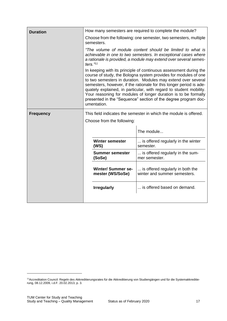| <b>Duration</b>  | How many semesters are required to complete the module? |                                                                                                                                                                                                                                                                                                                                                                                                                                                                                         |  |
|------------------|---------------------------------------------------------|-----------------------------------------------------------------------------------------------------------------------------------------------------------------------------------------------------------------------------------------------------------------------------------------------------------------------------------------------------------------------------------------------------------------------------------------------------------------------------------------|--|
|                  | semesters.                                              | Choose from the following: one semester, two semesters, multiple                                                                                                                                                                                                                                                                                                                                                                                                                        |  |
|                  | ters. $"11$                                             | "The volume of module content should be limited to what is<br>achievable in one to two semesters. In exceptional cases where<br>a rationale is provided, a module may extend over several semes-                                                                                                                                                                                                                                                                                        |  |
|                  | umentation.                                             | In keeping with its principle of continuous assessment during the<br>course of study, the Bologna system provides for modules of one<br>to two semesters in duration. Modules may extend over several<br>semesters, however, if the rationale for this longer period is ade-<br>quately explained, in particular, with regard to student mobility.<br>Your reasoning for modules of longer duration is to be formally<br>presented in the "Sequence" section of the degree program doc- |  |
| <b>Frequency</b> |                                                         | This field indicates the semester in which the module is offered.                                                                                                                                                                                                                                                                                                                                                                                                                       |  |
|                  | Choose from the following:                              |                                                                                                                                                                                                                                                                                                                                                                                                                                                                                         |  |
|                  |                                                         | The module                                                                                                                                                                                                                                                                                                                                                                                                                                                                              |  |
|                  | <b>Winter semester</b><br>(WS)                          | is offered regularly in the winter<br>semester.                                                                                                                                                                                                                                                                                                                                                                                                                                         |  |
|                  | <b>Summer semester</b><br>(SoSe)                        | is offered regularly in the sum-<br>mer semester.                                                                                                                                                                                                                                                                                                                                                                                                                                       |  |
|                  | <b>Winter/Summer se-</b><br>mester (WS/SoSe)            | is offered regularly in both the<br>winter and summer semesters.                                                                                                                                                                                                                                                                                                                                                                                                                        |  |
|                  | <b>Irregularly</b>                                      | is offered based on demand.                                                                                                                                                                                                                                                                                                                                                                                                                                                             |  |
|                  |                                                         |                                                                                                                                                                                                                                                                                                                                                                                                                                                                                         |  |

1

<sup>11</sup>Accreditation Council: Regeln des Akkreditierungsrates für die Akkreditierung von Studiengängen und für die Systemakkreditierung, 08.12.2009, i.d.F. 20.02.2013, p. 3.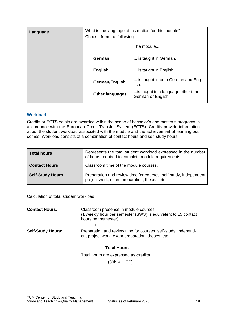| Language | What is the language of instruction for this module?<br>Choose from the following: |                                                          |  |
|----------|------------------------------------------------------------------------------------|----------------------------------------------------------|--|
|          |                                                                                    | The module                                               |  |
|          | German                                                                             | is taught in German.                                     |  |
|          | <b>English</b>                                                                     | is taught in English.                                    |  |
|          | German/English                                                                     | is taught in both German and Eng-<br>lish.               |  |
|          | <b>Other languages</b>                                                             | is taught in a language other than<br>German or English. |  |
|          |                                                                                    |                                                          |  |

## <span id="page-17-0"></span>**Workload**

Credits or ECTS points are awarded within the scope of bachelor's and master's programs in accordance with the European Credit Transfer System (ECTS). Credits provide information about the student workload associated with the module and the achievement of learning outcomes. Workload consists of a combination of contact hours and self-study hours.

| <b>Total hours</b>      | Represents the total student workload expressed in the number<br>of hours required to complete module requirements. |
|-------------------------|---------------------------------------------------------------------------------------------------------------------|
| <b>Contact Hours</b>    | Classroom time of the module courses.                                                                               |
| <b>Self-Study Hours</b> | Preparation and review time for courses, self-study, independent<br>project work, exam preparation, theses, etc.    |

Calculation of total student workload:

| <b>Contact Hours:</b>    | Classroom presence in module courses<br>(1 weekly hour per semester (SWS) is equivalent to 15 contact<br>hours per semester) |
|--------------------------|------------------------------------------------------------------------------------------------------------------------------|
| <b>Self-Study Hours:</b> | $\pm$<br>Preparation and review time for courses, self-study, independ-<br>ent project work, exam preparation, theses, etc.  |
|                          | <b>Total Hours</b>                                                                                                           |

Total hours are expressed as **credits**

 $(30h \triangleq 1 \text{ CP})$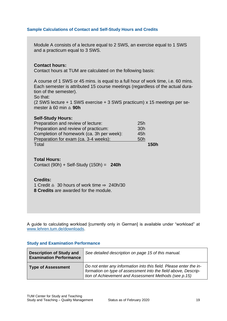## **Sample Calculations of Contact and Self-Study Hours and Credits**

Module A consists of a lecture equal to 2 SWS, an exercise equal to 1 SWS and a practicum equal to 3 SWS.

## **Contact hours:**

Contact hours at TUM are calculated on the following basis:

A course of 1 SWS or 45 mins. is equal to a full hour of work time, i.e. 60 mins. Each semester is attributed 15 course meetings (regardless of the actual duration of the semester).

So that:

(2 SWS lecture + 1 SWS exercise + 3 SWS practicum) x 15 meetings per semester à 60 min ≙ **90h**

## **Self-Study Hours:**

| Preparation and review of lecture:        | 25h             |
|-------------------------------------------|-----------------|
| Preparation and review of practicum:      | 30 <sub>h</sub> |
| Completion of homework (ca. 3h per week): | 45h             |
| Preparation for exam (ca. 3-4 weeks):     | 50h             |
| Total                                     | <b>150h</b>     |

**Total Hours:**

Contact (90h) + Self-Study (150h) = **240h**

#### **Credits:**

1 Credit ≙ 30 hours of work time ⇒ 240h/30

**8 Credits** are awarded for the module.

A guide to calculating workload [currently only in German] is available under "workload" at [www.lehren.tum.de/downloads.](http://www.lehren.tum.de/downloads/)

## <span id="page-18-0"></span>**Study and Examination Performance**

| <b>Description of Study and</b><br><b>Examination Performance</b> | See detailed description on page 15 of this manual.                                                                                                                                           |
|-------------------------------------------------------------------|-----------------------------------------------------------------------------------------------------------------------------------------------------------------------------------------------|
| <b>Type of Assessment</b>                                         | Do not enter any information into this field. Please enter the in-<br>formation on type of assessment into the field above, Descrip-<br>tion of Achievement and Assessment Methods (see p.15) |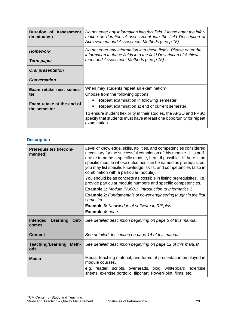| Duration of Assessment<br>(in minutes)    | Do not enter any information into this field. Please enter the infor-<br>mation on duration of assessment into the field Description of<br>Achievement and Assessment Methods (see p.15) |
|-------------------------------------------|------------------------------------------------------------------------------------------------------------------------------------------------------------------------------------------|
| <b>Homework</b>                           | Do not enter any information into these fields. Please enter the<br>information to these fields into the field Description of Achieve-<br>ment and Assessment Methods (see p. 15)        |
| Term paper                                |                                                                                                                                                                                          |
| <b>Oral presentation</b>                  |                                                                                                                                                                                          |
| <b>Conversation</b>                       |                                                                                                                                                                                          |
| Exam retake next semes-                   | When may students repeat an examination?                                                                                                                                                 |
| ter                                       | Choose from the following options:                                                                                                                                                       |
| Exam retake at the end of<br>the semester | Repeat examination in following semester.                                                                                                                                                |
|                                           | Repeat examination at end of current semester.<br>$\blacksquare$                                                                                                                         |
|                                           | To ensure student flexibility in their studies, the APSO and FPSO<br>specify that students must have at least one opportunity for repeat<br>examination.                                 |

## <span id="page-19-0"></span>**Description**

| <b>Prerequisites (Recom-</b><br>mended)      | Level of knowledge, skills, abilities, and competencies considered<br>necessary for the successful completion of this module. It is pref-<br>erable to name a specific module, here, if possible. If there is no<br>specific module whose outcomes can be named as prerequisites,<br>you may list specific knowledge, skills, and competencies (also in<br>combination with a particular module). |
|----------------------------------------------|---------------------------------------------------------------------------------------------------------------------------------------------------------------------------------------------------------------------------------------------------------------------------------------------------------------------------------------------------------------------------------------------------|
|                                              | You should be as concrete as possible in listing prerequisites, i.e.<br>provide particular module numbers and specific competencies.                                                                                                                                                                                                                                                              |
|                                              | <b>Example 1:</b> Module IN0001: Introduction to Informatics 1                                                                                                                                                                                                                                                                                                                                    |
|                                              | <b>Example 2:</b> Fundamentals of power engineering taught in the first<br>semester.                                                                                                                                                                                                                                                                                                              |
|                                              | <b>Example 3: Knowledge of software in R/Splus</b>                                                                                                                                                                                                                                                                                                                                                |
|                                              | Example 4: none                                                                                                                                                                                                                                                                                                                                                                                   |
| <b>Intended</b><br>Learning<br>Out-<br>comes | See detailed description beginning on page 5 of this manual.                                                                                                                                                                                                                                                                                                                                      |
| <b>Content</b>                               | See detailed description on page 14 of this manual.                                                                                                                                                                                                                                                                                                                                               |
| <b>Teaching/Learning</b><br>Meth-<br>ods     | See detailed description beginning on page 12 of this manual.                                                                                                                                                                                                                                                                                                                                     |
| <b>Media</b>                                 | Media, teaching material, and forms of presentation employed in<br>module courses,                                                                                                                                                                                                                                                                                                                |
|                                              | e.g. reader, scripts, overheads, blog, whiteboard, exercise<br>sheets, exercise portfolio, flipchart, PowerPoint, films, etc.                                                                                                                                                                                                                                                                     |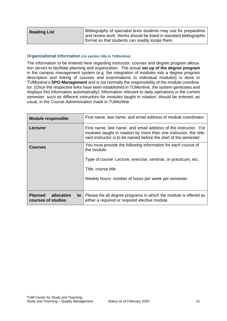| <b>Reading List</b> | Bibliography of specialist texts students may use for preparation<br>and review work. Works should be listed in standard bibliographic<br>format so that students can readily locate them. |
|---------------------|--------------------------------------------------------------------------------------------------------------------------------------------------------------------------------------------|
|---------------------|--------------------------------------------------------------------------------------------------------------------------------------------------------------------------------------------|

## <span id="page-20-0"></span>**Organizational Information** *(no section title in TUMonline)*

The information to be entered here regarding instructor, courses and degree program allocation serves to facilitate planning and organization. The actual **set up of the degree program** in the campus management system (e.g. the integration of modules into a degree program description and linking of courses and examinations to individual modules) is done in TUMonline's **SPO-Management** and is not normally the responsibility of the module coordinator. (Once the respective links have been established in TUMonline, the system generates and displays this information automatically). Information relevant to daily operations in the current semester, such as different instructors for modules taught in rotation, should be entered, as usual, in the *Course Administration* mask in TUMonline.

| <b>Module responsible</b>                                | First name, last name, and email address of module coordinator.                                                                                                                                                              |
|----------------------------------------------------------|------------------------------------------------------------------------------------------------------------------------------------------------------------------------------------------------------------------------------|
| Lecturer                                                 | First name, last name, and email address of the instructor. For<br>modules taught in rotation by more than one instructor, the rele-<br>vant instructor is to be named before the start of the semester.                     |
| <b>Courses</b>                                           | You must provide the following information for each course of<br>the module:<br>Type of course: Lecture, exercise, seminar, or practicum, etc.<br>Title: course title<br>Weekly hours: number of hours per week per semester |
| allocation<br><b>Planned</b><br>to<br>courses of studies | Please list all degree programs in which the module is offered as<br>either a required or required elective module.                                                                                                          |